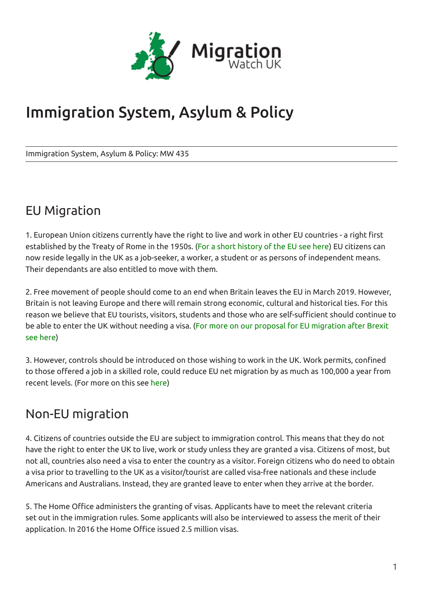

# Immigration System, Asylum & Policy

Immigration System, Asylum & Policy: MW 435

### EU Migration

1. European Union citizens currently have the right to live and work in other EU countries - a right first established by the Treaty of Rome in the 1950s. (For a short history of the EU see here) EU citizens can now reside legally in the UK as a job-seeker, a worker, a student or as persons of independent means. Their dependants are also entitled to move with them.

2. Free movement of people should come to an end when Britain leaves the EU in March 2019. However, Britain is not leaving Europe and there will remain strong economic, cultural and historical ties. For this reason we believe that EU tourists, visitors, students and those who are self-sufficient should continue to be able to enter the UK without needing a visa. (For more on our proposal for EU migration after Brexit see here)

3. However, controls should be introduced on those wishing to work in the UK. Work permits, confined to those offered a job in a skilled role, could reduce EU net migration by as much as 100,000 a year from recent levels. (For more on this see here)

### Non-EU migration

4. Citizens of countries outside the EU are subject to immigration control. This means that they do not have the right to enter the UK to live, work or study unless they are granted a visa. Citizens of most, but not all, countries also need a visa to enter the country as a visitor. Foreign citizens who do need to obtain a visa prior to travelling to the UK as a visitor/tourist are called visa-free nationals and these include Americans and Australians. Instead, they are granted leave to enter when they arrive at the border.

5. The Home Office administers the granting of visas. Applicants have to meet the relevant criteria set out in the immigration rules. Some applicants will also be interviewed to assess the merit of their application. In 2016 the Home Office issued 2.5 million visas.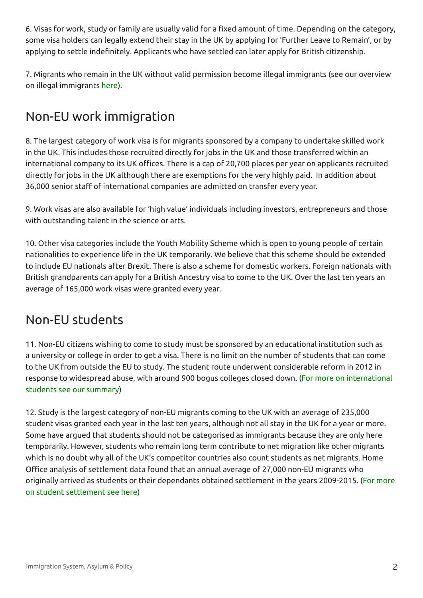6. Visas for work, study or family are usually valid for a fixed amount of time. Depending on the category, some visa holders can legally extend their stay in the UK by applying for 'Further Leave to Remain', or by applying to settle indefinitely. Applicants who have settled can later apply for British citizenship.

7. Migrants who remain in the UK without valid permission become illegal immigrants (see our overview on illegal immigrants here).

### Non-EU work immigration

8. The largest category of work visa is for migrants sponsored by a company to undertake skilled work in the UK. This includes those recruited directly for jobs in the UK and those transferred within an international company to its UK offices. There is a cap of 20,700 places per year on applicants recruited directly for jobs in the UK although there are exemptions for the very highly paid. In addition about 36,000 senior staff of international companies are admitted on transfer every year.

9. Work visas are also available for 'high value' individuals including investors, entrepreneurs and those with outstanding talent in the science or arts.

10. Other visa categories include the Youth Mobility Scheme which is open to young people of certain nationalities to experience life in the UK temporarily. We believe that this scheme should be extended to include EU nationals after Brexit. There is also a scheme for domestic workers. Foreign nationals with British grandparents can apply for a British Ancestry visa to come to the UK. Over the last ten years an average of 165,000 work visas were granted every year.

### Non-EU students

11. Non-EU citizens wishing to come to study must be sponsored by an educational institution such as a university or college in order to get a visa. There is no limit on the number of students that can come to the UK from outside the EU to study. The student route underwent considerable reform in 2012 in response to widespread abuse, with around 900 bogus colleges closed down. (For more on international students see our summary)

12. Study is the largest category of non-EU migrants coming to the UK with an average of 235,000 student visas granted each year in the last ten years, although not all stay in the UK for a year or more. Some have argued that students should not be categorised as immigrants because they are only here temporarily. However, students who remain long term contribute to net migration like other migrants which is no doubt why all of the UK's competitor countries also count students as net migrants. Home Office analysis of settlement data found that an annual average of 27,000 non-EU migrants who originally arrived as students or their dependants obtained settlement in the years 2009-2015. (For more on student settlement see here)